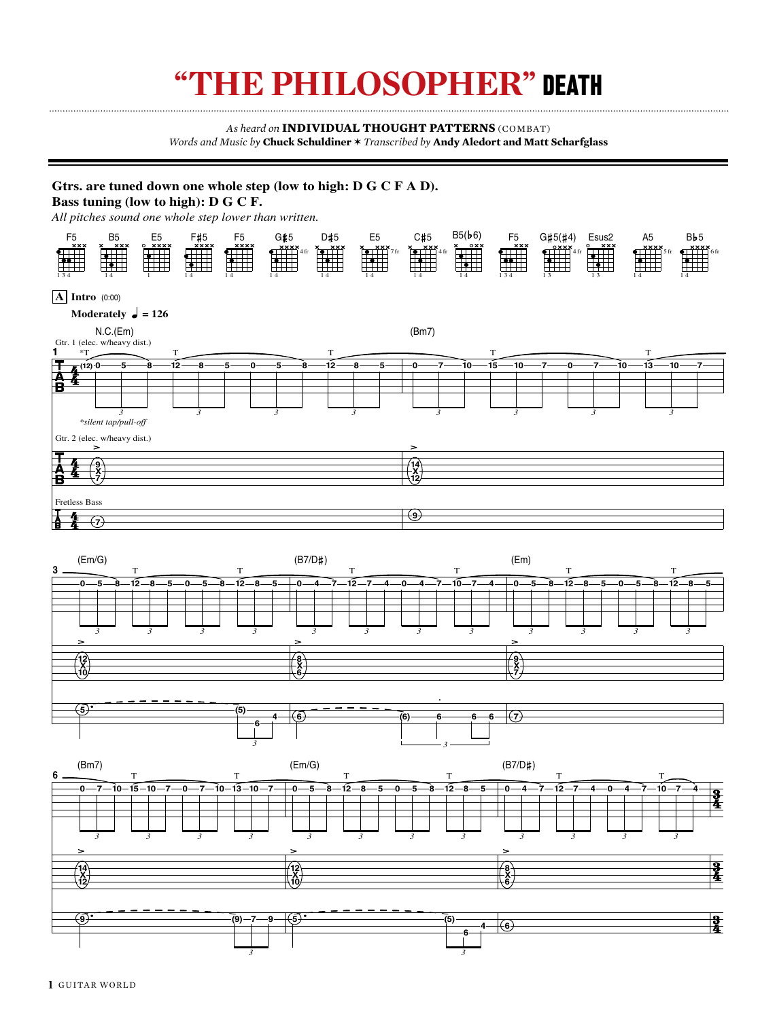# **"The Philosopher"** death

#### *As heard on* **Individual Thought Patterns** (combat)

*Words and Music by* **Chuck Schuldiner** ✶ *Transcribed by* **Andy Aledort and Matt Scharfglass**

#### **Gtrs. are tuned down one whole step (low to high: D G C F A D).**

**Bass tuning (low to high): D G C F.**

*All pitches sound one whole step lower than written.*

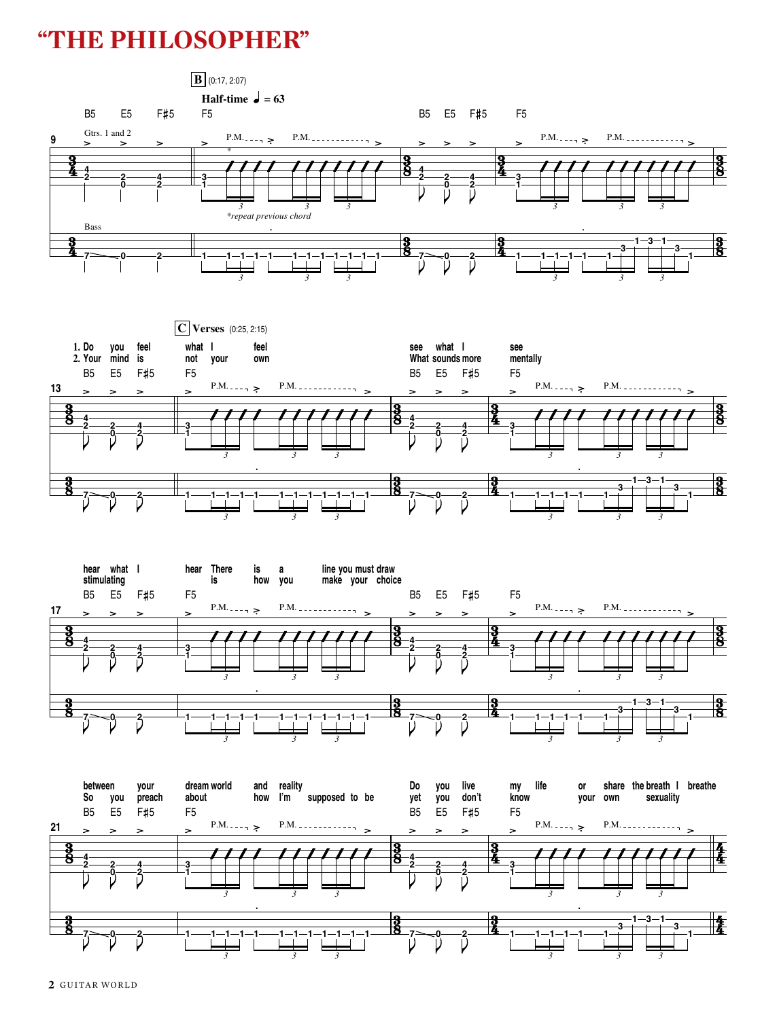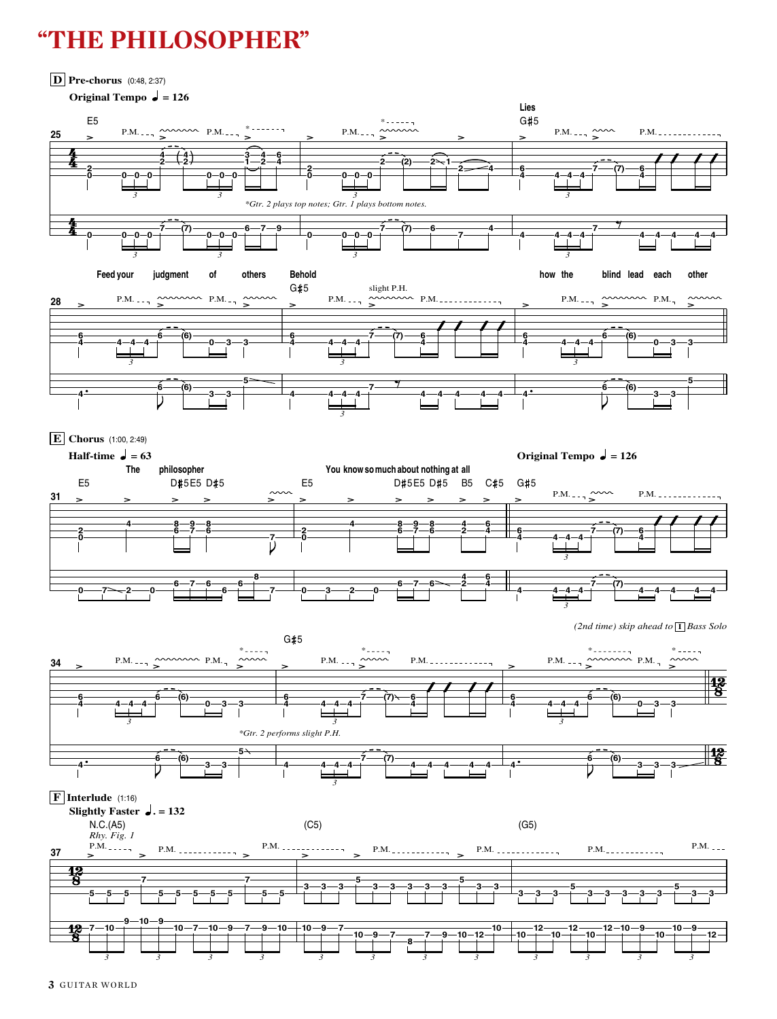**D Pre-chorus** (0:48, 2:37)

**Original Tempo**  $\rightarrow$  = 126 **Lies**  $G#5$ E5 *\** P.M. P.M. *\**  $P.M.$  $P.M. \ldots \sim \infty$ P.M. **25 4 2 4 3 <sup>4</sup> <sup>4</sup> 6 2 1 2 2**  $\begin{array}{|c|c|c|c|c|c|}\n\hline\n\text{(2)} & \text{2} & \text{4} & \text{6} \\
\hline\n\text{(1)} & \text{(2)} & \text{4} & \text{4}\n\end{array}$ **2 <sup>2</sup> <sup>0</sup> 6 <sup>4</sup> <sup>4</sup> <sup>7</sup> (7) <sup>4</sup> 6 0 0 0 0 0 0 0 0 0 0 4** *3 3 3 3 \*Gtr. 2 plays top notes; Gtr. 1 plays bottom notes.* **0 0 0 0 <sup>7</sup> (7) 0 0 <sup>0</sup> 6 7 <sup>9</sup> <sup>0</sup> 0 0 0 <sup>7</sup> (7) <sup>6</sup> <sup>7</sup> <sup>4</sup> <sup>4</sup> 4 4 4 <sup>7</sup> 4 4 4 4 4** *3 3 3 3* **judgment of others Behold how the each other Feed your blind lead**  $G#5$ slight P.H.  $P.M.$   $P.M.$  $P.M.$ ...  $P.M.$  $\hat{z}$ P.M.  $\widetilde{\cdot}$  $\sim$  P.M.  $\hat{z}$ **28**  $\geq$ **6 <sup>6</sup> (6) <sup>0</sup>**  $\frac{6}{4}$   $\frac{4}{4}$  $\frac{1}{4-4}$  $\frac{(7) - 6}{4}$ **6 6 6 (6) 3 4 4 4 4 3 3 4 4 4 4 4 0 3** *3 3 3* **5 5 <sup>4</sup> <sup>6</sup> (6) 3 3 <sup>4</sup> 4 4 4 <sup>7</sup> 4 4 4 4 <sup>4</sup> <sup>4</sup> <sup>6</sup> (6) 3 3** *3* **E Chorus** (1:00, 2:49) **Half-time**  $\boldsymbol{\bullet} = 63$ **Original Tempo**  $\boldsymbol{\phi} = 126$ **The philosopher You knowso much about nothing at all** E5 D#5E5 D#5 E5 D#5E5 D#5 B5 C#5 G#5  $P.M. \ldots, \sim \infty$ P.M.  $\tilde{\cdot}$ **31**  $\geq$  $\Rightarrow$  $\geq$ **4 8 9 8 4 8 9 8 4 6 2 6 7 6 2 6 7 6 2 4 6**  $\frac{7}{4-4-4}$ ,  $\frac{7}{1}$  (7) **60 7 0 4 4** *3* **0 7 2 0 6 7 6 <sup>6</sup> <sup>6</sup> <sup>8</sup> <sup>4</sup> <sup>4</sup> 6 <sup>7</sup> <sup>0</sup> 3 2 0 6 7 <sup>6</sup> <sup>2</sup> <sup>4</sup> 4 4 4 <sup>7</sup> (7) 4 4 4 4 4** *3 (2nd time) skip ahead to* **I** *Bass Solo*  $G#5$ *\* \* \** P.M. *\**  $P.M.$   $P.M.$   $\sum_{\geq}$  P.M., P.M. P.M. **34**  $\frac{12}{8}$ **6 (6) 6**  $\overline{4-4-4-4}$   $\overline{6}$   $\overline{6}$   $\overline{6}$ **6 7 (7) <sup>6</sup> <sup>4</sup> 6 4 0 3 4 4 4 4 4 4 4 4 0 3 3** *3 3 3 \*Gtr. 2 performs slight P.H.*  $\frac{12}{18}$ **5 <sup>4</sup> <sup>6</sup> (6) 3 3 4 4 4 4 <sup>7</sup> (7) 4 4 4 4 <sup>4</sup> <sup>4</sup> <sup>6</sup> (6) 3 3 <sup>3</sup>** *3* **F Interlude** (1:16) **Slightly Faster**  $\neq$  **.** = 132 N.C.(A5) (C5) (G5) *Rhy. Fig. 1* P.M. P.M. <u>. . . . . . . . . . . .</u> . P.M. P.M. P.M. P.M. . . . . . . . . . . . . . . P.M. **37**  $\geq$  $\geq$ **7 7** <del>3</del> 3<sup>-3</sup> <sup>5</sup> <del>3</del> 3 3 3 3 3 4 **3 3 3 3 <sup>3</sup> <sup>5</sup>** <del>3</del> 3 3 3 3 3 4 **5 5 5 5 5 5 5 5 5 5 2** 3 **7 10 9 10 9 <sup>10</sup> 7 10 9 7 9 <sup>10</sup> <sup>10</sup> 9 7 <sup>10</sup> 9 7 <sup>8</sup> 7 9 <sup>10</sup> <sup>12</sup> <sup>10</sup> <sup>10</sup> <sup>12</sup> <sup>10</sup> <sup>12</sup> <sup>10</sup> <sup>12</sup> <sup>10</sup> <sup>9</sup> <sup>10</sup> <sup>10</sup> <sup>9</sup> <sup>12</sup>**

*3 3 3 3 3 3 3 3 3 3 3 3*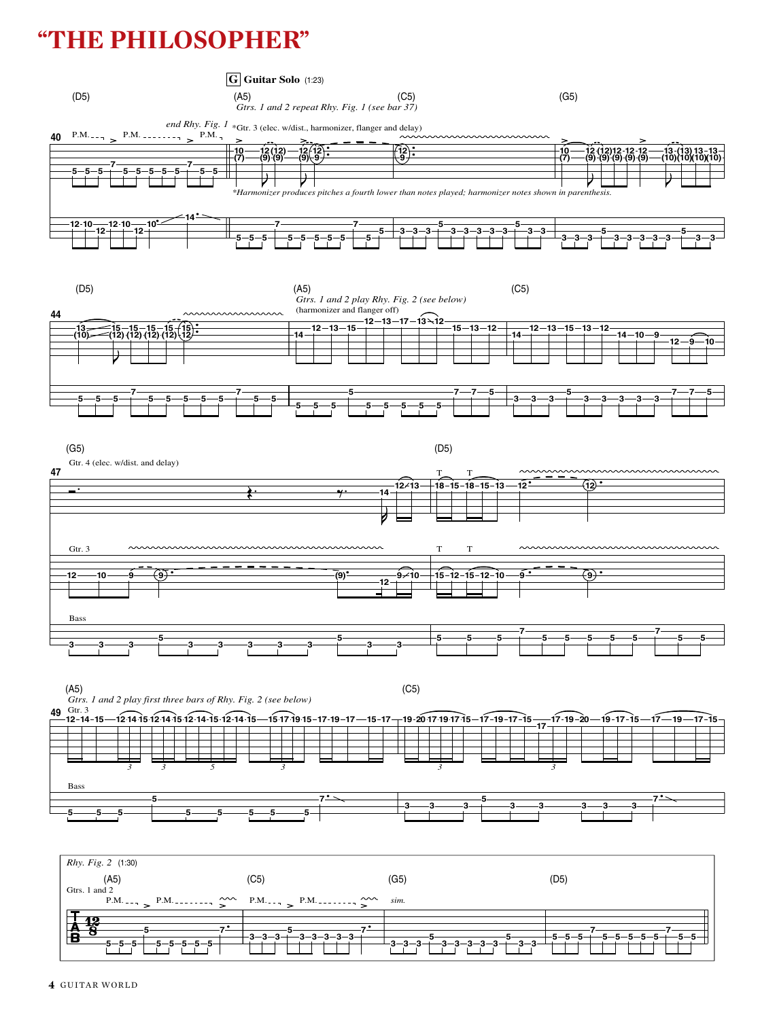

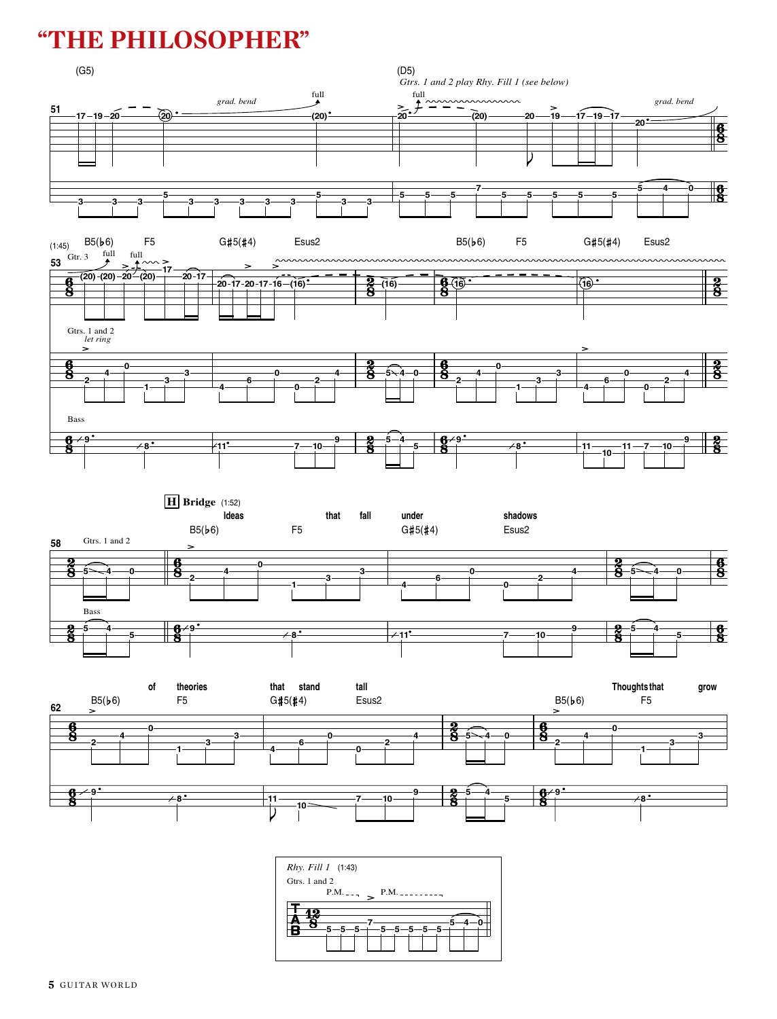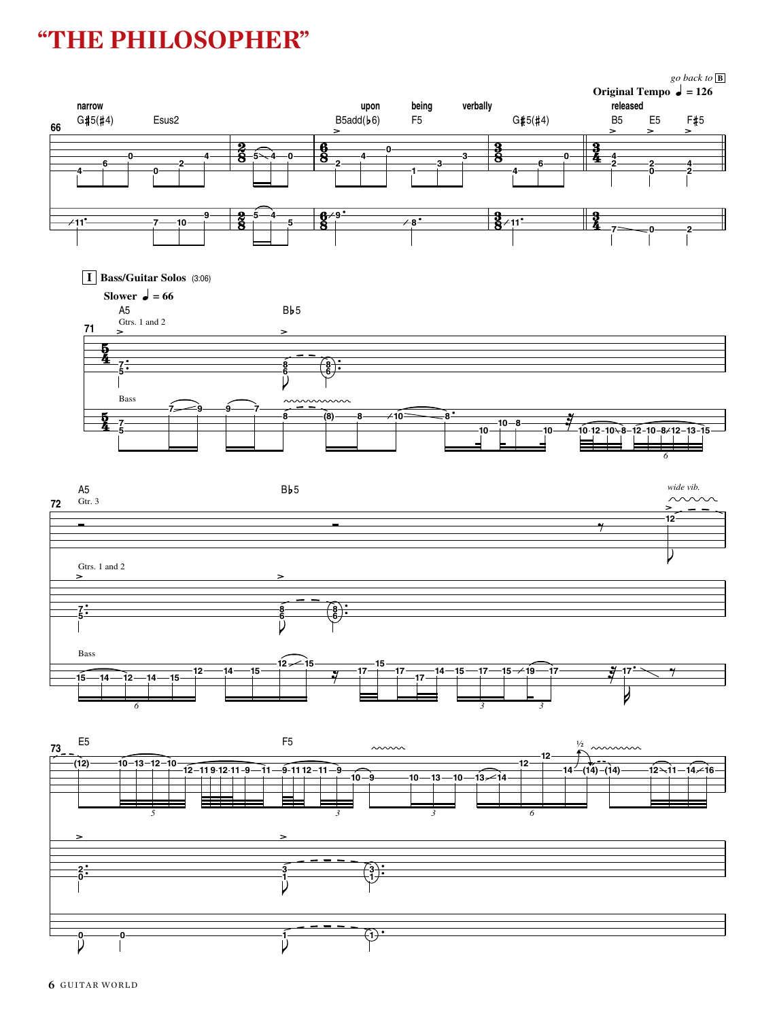